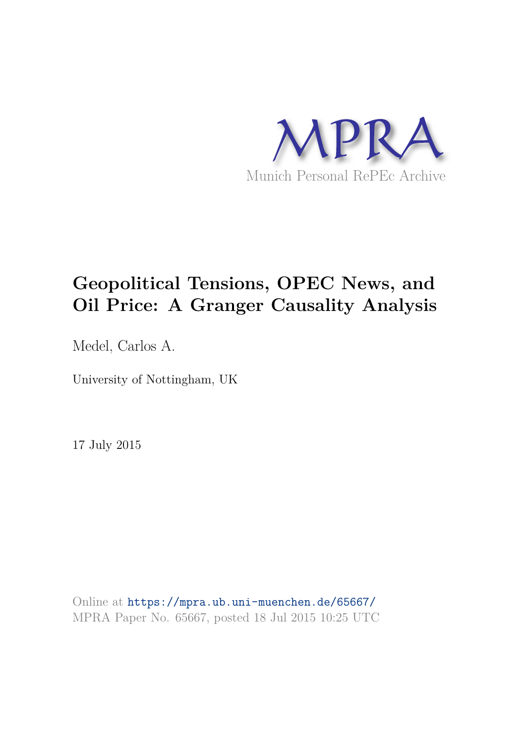

# **Geopolitical Tensions, OPEC News, and Oil Price: A Granger Causality Analysis**

Medel, Carlos A.

University of Nottingham, UK

17 July 2015

Online at https://mpra.ub.uni-muenchen.de/65667/ MPRA Paper No. 65667, posted 18 Jul 2015 10:25 UTC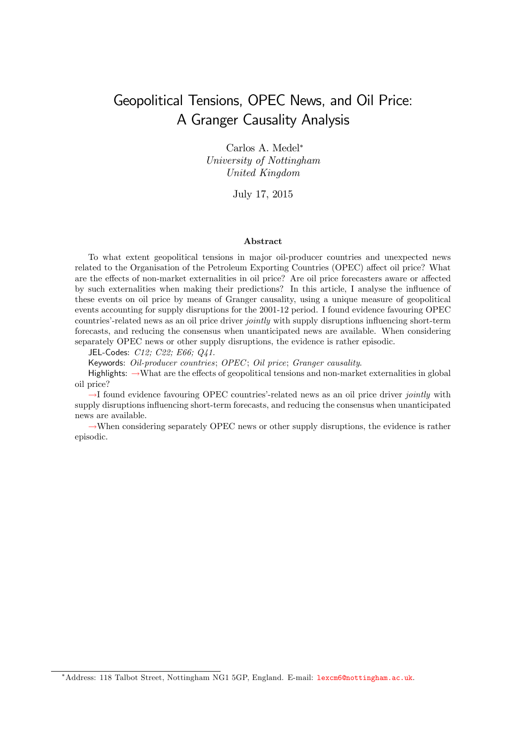## Geopolitical Tensions, OPEC News, and Oil Price: A Granger Causality Analysis

Carlos A. Medel University of Nottingham United Kingdom

July 17, 2015

#### Abstract

To what extent geopolitical tensions in major oil-producer countries and unexpected news related to the Organisation of the Petroleum Exporting Countries (OPEC) affect oil price? What are the effects of non-market externalities in oil price? Are oil price forecasters aware or affected by such externalities when making their predictions? In this article, I analyse the influence of these events on oil price by means of Granger causality, using a unique measure of geopolitical events accounting for supply disruptions for the 2001-12 period. I found evidence favouring OPEC countries'-related news as an oil price driver *jointly* with supply disruptions influencing short-term forecasts, and reducing the consensus when unanticipated news are available. When considering separately OPEC news or other supply disruptions, the evidence is rather episodic.

JEL-Codes: C12; C22; E66; Q41.

Keywords: Oil-producer countries; OPEC; Oil price; Granger causality.

Highlights:  $\rightarrow$ What are the effects of geopolitical tensions and non-market externalities in global oil price?

 $\rightarrow$ I found evidence favouring OPEC countries'-related news as an oil price driver jointly with supply disruptions influencing short-term forecasts, and reducing the consensus when unanticipated news are available.

 $\rightarrow$ When considering separately OPEC news or other supply disruptions, the evidence is rather episodic.

<sup>\*</sup>Address: 118 Talbot Street, Nottingham NG1 5GP, England. E-mail: lexcm6@nottingham.ac.uk.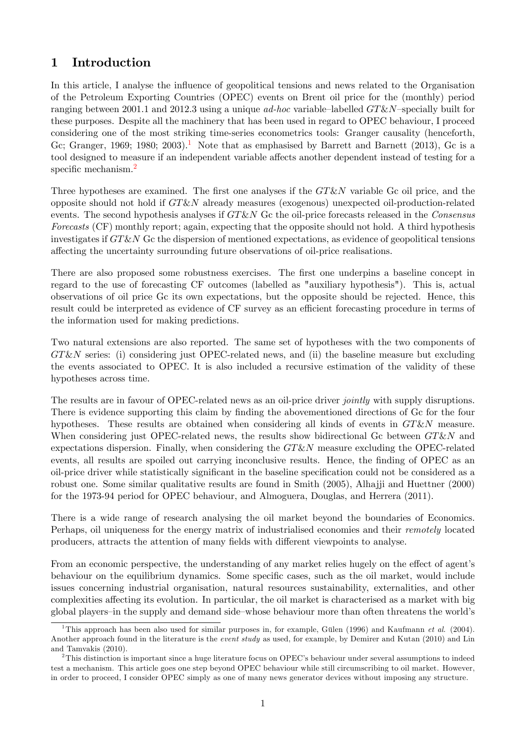## 1 Introduction

In this article, I analyse the influence of geopolitical tensions and news related to the Organisation of the Petroleum Exporting Countries (OPEC) events on Brent oil price for the (monthly) period ranging between 2001.1 and 2012.3 using a unique  $ad-hoc$  variable–labelled  $GT\&N$ –specially built for these purposes. Despite all the machinery that has been used in regard to OPEC behaviour, I proceed considering one of the most striking time-series econometrics tools: Granger causality (henceforth, Gc; Granger, 1969; 1980; 2003).<sup>1</sup> Note that as emphasised by Barrett and Barnett (2013), Gc is a tool designed to measure if an independent variable affects another dependent instead of testing for a specific mechanism.<sup>2</sup>

Three hypotheses are examined. The first one analyses if the  $GT\&N$  variable Gc oil price, and the opposite should not hold if  $GT\&N$  already measures (exogenous) unexpected oil-production-related events. The second hypothesis analyses if  $G T \& N$  Gc the oil-price forecasts released in the Consensus Forecasts (CF) monthly report; again, expecting that the opposite should not hold. A third hypothesis investigates if GT&N Gc the dispersion of mentioned expectations, as evidence of geopolitical tensions affecting the uncertainty surrounding future observations of oil-price realisations.

There are also proposed some robustness exercises. The first one underpins a baseline concept in regard to the use of forecasting CF outcomes (labelled as "auxiliary hypothesis"). This is, actual observations of oil price Gc its own expectations, but the opposite should be rejected. Hence, this result could be interpreted as evidence of CF survey as an efficient forecasting procedure in terms of the information used for making predictions.

Two natural extensions are also reported. The same set of hypotheses with the two components of  $GT\&N$  series: (i) considering just OPEC-related news, and (ii) the baseline measure but excluding the events associated to OPEC. It is also included a recursive estimation of the validity of these hypotheses across time.

The results are in favour of OPEC-related news as an oil-price driver *jointly* with supply disruptions. There is evidence supporting this claim by finding the abovementioned directions of Gc for the four hypotheses. These results are obtained when considering all kinds of events in  $GT\&N$  measure. When considering just OPEC-related news, the results show bidirectional Gc between  $GT\&N$  and expectations dispersion. Finally, when considering the  $GT\&N$  measure excluding the OPEC-related events, all results are spoiled out carrying inconclusive results. Hence, the finding of OPEC as an oil-price driver while statistically significant in the baseline specification could not be considered as a robust one. Some similar qualitative results are found in Smith (2005), Alhajji and Huettner (2000) for the 1973-94 period for OPEC behaviour, and Almoguera, Douglas, and Herrera (2011).

There is a wide range of research analysing the oil market beyond the boundaries of Economics. Perhaps, oil uniqueness for the energy matrix of industrialised economies and their *remotely* located producers, attracts the attention of many fields with different viewpoints to analyse.

From an economic perspective, the understanding of any market relies hugely on the effect of agent's behaviour on the equilibrium dynamics. Some specific cases, such as the oil market, would include issues concerning industrial organisation, natural resources sustainability, externalities, and other complexities affecting its evolution. In particular, the oil market is characterised as a market with big global players–in the supply and demand side–whose behaviour more than often threatens the world's

<sup>&</sup>lt;sup>1</sup>This approach has been also used for similar purposes in, for example, Gülen (1996) and Kaufmann *et al.* (2004). Another approach found in the literature is the *event study* as used, for example, by Demirer and Kutan (2010) and Lin and Tamvakis (2010).

 $2$ This distinction is important since a huge literature focus on OPEC's behaviour under several assumptions to indeed test a mechanism. This article goes one step beyond OPEC behaviour while still circumscribing to oil market. However, in order to proceed, I consider OPEC simply as one of many news generator devices without imposing any structure.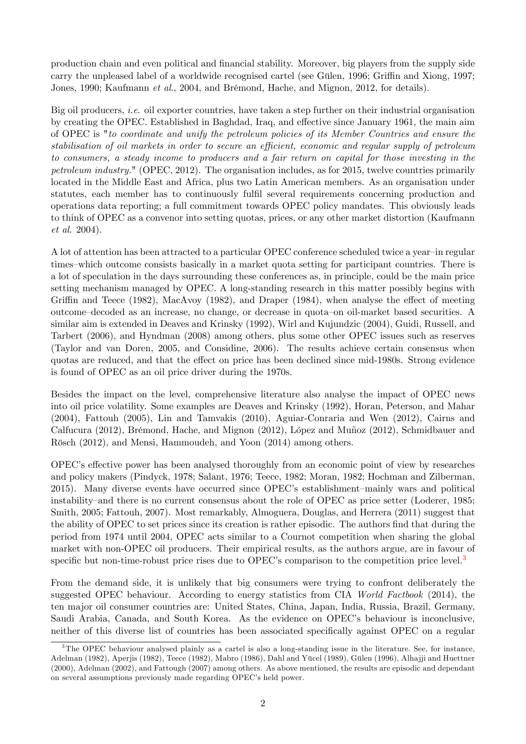production chain and even political and Önancial stability. Moreover, big players from the supply side carry the unpleased label of a worldwide recognised cartel (see Gülen, 1996; Griffin and Xiong, 1997; Jones, 1990; Kaufmann et al., 2004, and Brémond, Hache, and Mignon, 2012, for details).

Big oil producers, *i.e.* oil exporter countries, have taken a step further on their industrial organisation by creating the OPEC. Established in Baghdad, Iraq, and effective since January 1961, the main aim of OPEC is "to coordinate and unify the petroleum policies of its Member Countries and ensure the stabilisation of oil markets in order to secure an efficient, economic and regular supply of petroleum to consumers, a steady income to producers and a fair return on capital for those investing in the petroleum industry." (OPEC, 2012). The organisation includes, as for 2015, twelve countries primarily located in the Middle East and Africa, plus two Latin American members. As an organisation under statutes, each member has to continuously fulfil several requirements concerning production and operations data reporting; a full commitment towards OPEC policy mandates. This obviously leads to think of OPEC as a convenor into setting quotas, prices, or any other market distortion (Kaufmann et al. 2004).

A lot of attention has been attracted to a particular OPEC conference scheduled twice a year-in regular times–which outcome consists basically in a market quota setting for participant countries. There is a lot of speculation in the days surrounding these conferences as, in principle, could be the main price setting mechanism managed by OPEC. A long-standing research in this matter possibly begins with Griffin and Teece (1982), MacAvoy (1982), and Draper (1984), when analyse the effect of meeting outcome-decoded as an increase, no change, or decrease in quota-on oil-market based securities. A similar aim is extended in Deaves and Krinsky (1992), Wirl and Kujundzic (2004), Guidi, Russell, and Tarbert (2006), and Hyndman (2008) among others, plus some other OPEC issues such as reserves (Taylor and van Doren, 2005, and Considine, 2006). The results achieve certain consensus when quotas are reduced, and that the effect on price has been declined since mid-1980s. Strong evidence is found of OPEC as an oil price driver during the 1970s.

Besides the impact on the level, comprehensive literature also analyse the impact of OPEC news into oil price volatility. Some examples are Deaves and Krinsky (1992), Horan, Peterson, and Mahar (2004), Fattouh (2005), Lin and Tamvakis (2010), Aguiar-Conraria and Wen (2012), Cairns and Calfucura (2012), Brémond, Hache, and Mignon (2012), López and Muñoz (2012), Schmidbauer and Rösch (2012), and Mensi, Hammoudeh, and Yoon (2014) among others.

OPEC's effective power has been analysed thoroughly from an economic point of view by researches and policy makers (Pindyck, 1978; Salant, 1976; Teece, 1982; Moran, 1982; Hochman and Zilberman, 2015). Many diverse events have occurred since OPEC's establishment-mainly wars and political instability–and there is no current consensus about the role of OPEC as price setter (Loderer, 1985; Smith, 2005; Fattouh, 2007). Most remarkably, Almoguera, Douglas, and Herrera (2011) suggest that the ability of OPEC to set prices since its creation is rather episodic. The authors find that during the period from 1974 until 2004, OPEC acts similar to a Cournot competition when sharing the global market with non-OPEC oil producers. Their empirical results, as the authors argue, are in favour of specific but non-time-robust price rises due to OPEC's comparison to the competition price level.<sup>3</sup>

From the demand side, it is unlikely that big consumers were trying to confront deliberately the suggested OPEC behaviour. According to energy statistics from CIA World Factbook (2014), the ten major oil consumer countries are: United States, China, Japan, India, Russia, Brazil, Germany, Saudi Arabia, Canada, and South Korea. As the evidence on OPEC's behaviour is inconclusive, neither of this diverse list of countries has been associated specifically against OPEC on a regular

<sup>&</sup>lt;sup>3</sup>The OPEC behaviour analysed plainly as a cartel is also a long-standing issue in the literature. See, for instance, Adelman (1982), Aperjis (1982), Teece (1982), Mabro (1986), Dahl and Yücel (1989), Gülen (1996), Alhajji and Huettner (2000), Adelman (2002), and Fattough (2007) among others. As above mentioned, the results are episodic and dependant on several assumptions previously made regarding OPEC's held power.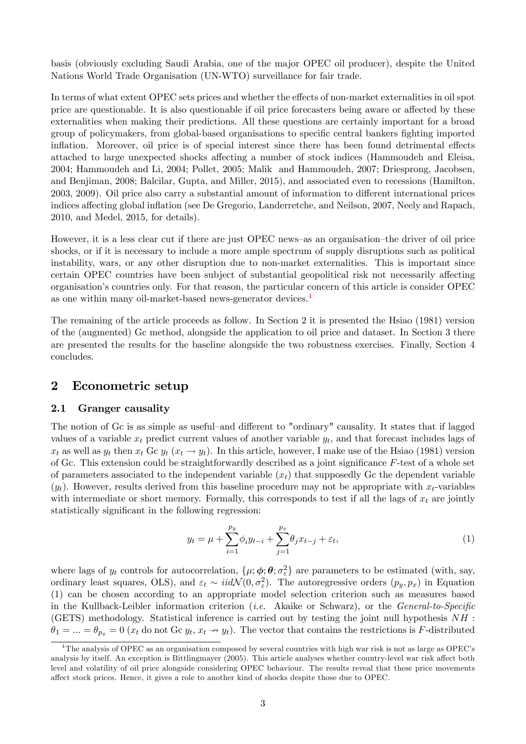basis (obviously excluding Saudi Arabia, one of the major OPEC oil producer), despite the United Nations World Trade Organisation (UN-WTO) surveillance for fair trade.

In terms of what extent OPEC sets prices and whether the effects of non-market externalities in oil spot price are questionable. It is also questionable if oil price forecasters being aware or affected by these externalities when making their predictions. All these questions are certainly important for a broad group of policymakers, from global-based organisations to specific central bankers fighting imported inflation. Moreover, oil price is of special interest since there has been found detrimental effects attached to large unexpected shocks affecting a number of stock indices (Hammoudeh and Eleisa, 2004; Hammoudeh and Li, 2004; Pollet, 2005; Malik and Hammoudeh, 2007; Driesprong, Jacobsen, and Benjiman, 2008; Balcilar, Gupta, and Miller, 2015), and associated even to recessions (Hamilton, 2003, 2009). Oil price also carry a substantial amount of information to different international prices indices affecting global inflation (see De Gregorio, Landerretche, and Neilson, 2007, Neely and Rapach, 2010, and Medel, 2015, for details).

However, it is a less clear cut if there are just OPEC news-as an organisation-the driver of oil price shocks, or if it is necessary to include a more ample spectrum of supply disruptions such as political instability, wars, or any other disruption due to non-market externalities. This is important since certain OPEC countries have been subject of substantial geopolitical risk not necessarily affecting organisationís countries only. For that reason, the particular concern of this article is consider OPEC as one within many oil-market-based news-generator devices.<sup>4</sup>

The remaining of the article proceeds as follow. In Section 2 it is presented the Hsiao (1981) version of the (augmented) Gc method, alongside the application to oil price and dataset. In Section 3 there are presented the results for the baseline alongside the two robustness exercises. Finally, Section 4 concludes.

#### 2 Econometric setup

#### 2.1 Granger causality

The notion of Gc is as simple as useful–and different to "ordinary" causality. It states that if lagged values of a variable  $x_t$  predict current values of another variable  $y_t$ , and that forecast includes lags of  $x_t$  as well as  $y_t$  then  $x_t$  Gc  $y_t$   $(x_t \to y_t)$ . In this article, however, I make use of the Hsiao (1981) version of Gc. This extension could be straightforwardly described as a joint significance  $F$ -test of a whole set of parameters associated to the independent variable  $(x_t)$  that supposedly Gc the dependent variable  $(y_t)$ . However, results derived from this baseline procedure may not be appropriate with  $x_t$ -variables with intermediate or short memory. Formally, this corresponds to test if all the lags of  $x_t$  are jointly statistically significant in the following regression:

$$
y_t = \mu + \sum_{i=1}^{p_y} \phi_i y_{t-i} + \sum_{j=1}^{p_x} \theta_j x_{t-j} + \varepsilon_t,
$$
\n(1)

where lags of  $y_t$  controls for autocorrelation,  $\{\mu, \phi, \theta, \sigma_{\varepsilon}^2\}$  are parameters to be estimated (with, say, ordinary least squares, OLS), and  $\varepsilon_t \sim \text{iidN}(0, \sigma_{\varepsilon}^2)$ . The autoregressive orders  $(p_y, p_x)$  in Equation (1) can be chosen according to an appropriate model selection criterion such as measures based in the Kullback-Leibler information criterion (*i.e.* Akaike or Schwarz), or the *General-to-Specific* (GETS) methodology. Statistical inference is carried out by testing the joint null hypothesis  $NH$ :  $\theta_1 = ... = \theta_{p_x} = 0$  ( $x_t$  do not Gc  $y_t, x_t \to y_t$ ). The vector that contains the restrictions is F-distributed

<sup>&</sup>lt;sup>4</sup>The analysis of OPEC as an organisation composed by several countries with high war risk is not as large as OPEC's analysis by itself. An exception is Bittlingmayer (2005). This article analyses whether country-level war risk affect both level and volatility of oil price alongside considering OPEC behaviour. The results reveal that these price movements affect stock prices. Hence, it gives a role to another kind of shocks despite those due to OPEC.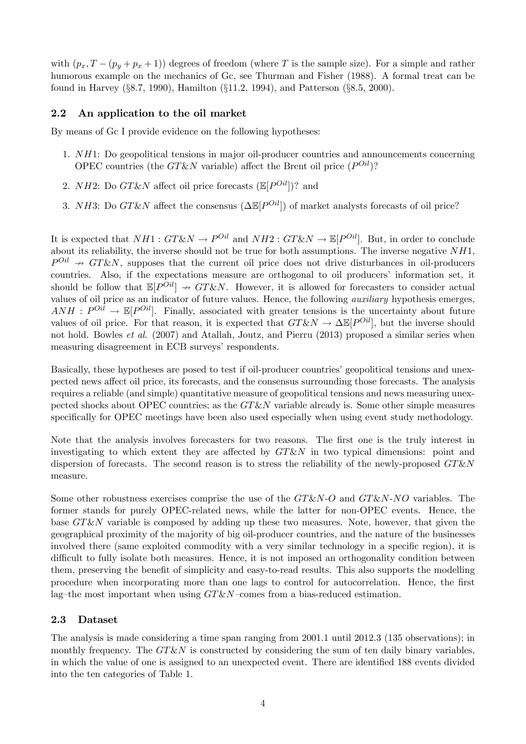with  $(p_x, T - (p_y + p_x + 1))$  degrees of freedom (where T is the sample size). For a simple and rather humorous example on the mechanics of Gc, see Thurman and Fisher (1988). A formal treat can be found in Harvey  $(\S 8.7, 1990)$ , Hamilton  $(\S 11.2, 1994)$ , and Patterson  $(\S 8.5, 2000)$ .

#### 2.2 An application to the oil market

By means of Gc I provide evidence on the following hypotheses:

- 1. NH1: Do geopolitical tensions in major oil-producer countries and announcements concerning OPEC countries (the  $GT\&N$  variable) affect the Brent oil price  $(P^{Oil})$ ?
- 2. NH2: Do  $GT\&N$  affect oil price forecasts  $(\mathbb{E}[P^{Oil}])$ ? and
- 3. NH3: Do  $G T \& N$  affect the consensus  $(\Delta \mathbb{E}[P^{Oil}])$  of market analysts forecasts of oil price?

It is expected that  $NH1: GT\&N \to P^{Oil}$  and  $NH2: GT\&N \to \mathbb{E}[P^{Oil}]$ . But, in order to conclude about its reliability, the inverse should not be true for both assumptions. The inverse negative  $NH1$ ,  $P^{Oil} \nrightarrow GT\&N$ , supposes that the current oil price does not drive disturbances in oil-producers countries. Also, if the expectations measure are orthogonal to oil producers' information set, it should be follow that  $\mathbb{E}[P^{Oil}] \rightarrow GT\&N$ . However, it is allowed for forecasters to consider actual values of oil price as an indicator of future values. Hence, the following auxiliary hypothesis emerges,  $ANH : P^{Oil} \rightarrow \mathbb{E}[P^{Oil}]$ . Finally, associated with greater tensions is the uncertainty about future values of oil price. For that reason, it is expected that  $GT\&N \to \Delta \mathbb{E}[P^{Oil}]$ , but the inverse should not hold. Bowles *et al.* (2007) and Atallah, Joutz, and Pierru (2013) proposed a similar series when measuring disagreement in ECB surveys' respondents.

Basically, these hypotheses are posed to test if oil-producer countries' geopolitical tensions and unexpected news affect oil price, its forecasts, and the consensus surrounding those forecasts. The analysis requires a reliable (and simple) quantitative measure of geopolitical tensions and news measuring unexpected shocks about OPEC countries; as the  $G T \& N$  variable already is. Some other simple measures specifically for OPEC meetings have been also used especially when using event study methodology.

Note that the analysis involves forecasters for two reasons. The first one is the truly interest in investigating to which extent they are affected by  $G T \& N$  in two typical dimensions: point and dispersion of forecasts. The second reason is to stress the reliability of the newly-proposed  $GT\&N$ measure.

Some other robustness exercises comprise the use of the  $GT\&N-O$  and  $GT\&N-NO$  variables. The former stands for purely OPEC-related news, while the latter for non-OPEC events. Hence, the base  $GT\&N$  variable is composed by adding up these two measures. Note, however, that given the geographical proximity of the majority of big oil-producer countries, and the nature of the businesses involved there (same exploited commodity with a very similar technology in a specific region), it is difficult to fully isolate both measures. Hence, it is not imposed an orthogonality condition between them, preserving the benefit of simplicity and easy-to-read results. This also supports the modelling procedure when incorporating more than one lags to control for autocorrelation. Hence, the Örst lag–the most important when using  $GT\&N$ –comes from a bias-reduced estimation.

#### 2.3 Dataset

The analysis is made considering a time span ranging from 2001.1 until 2012.3 (135 observations); in monthly frequency. The  $G T \& N$  is constructed by considering the sum of ten daily binary variables, in which the value of one is assigned to an unexpected event. There are identified 188 events divided into the ten categories of Table 1.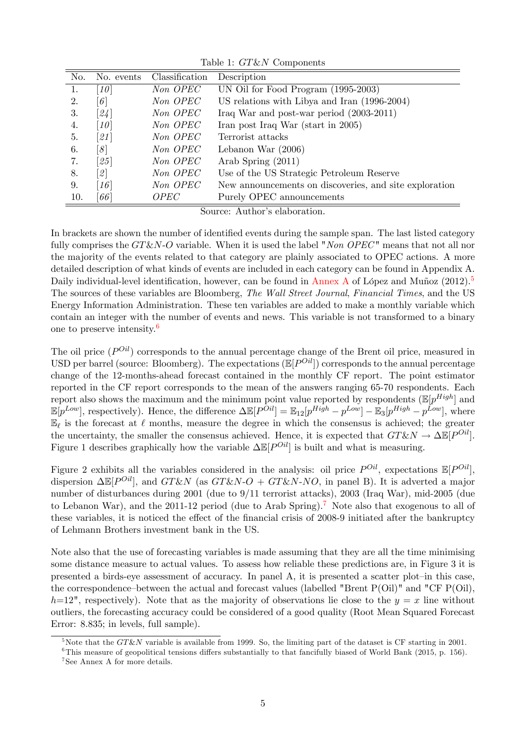| No. | No. events         | Classification | Description                                            |
|-----|--------------------|----------------|--------------------------------------------------------|
| 1.  | [10]               | Non OPEC       | UN Oil for Food Program (1995-2003)                    |
| 2.  | $\lceil 6 \rceil$  | Non OPEC       | US relations with Libya and Iran (1996-2004)           |
| 3.  | [24]               | Non OPEC       | Iraq War and post-war period $(2003-2011)$             |
| 4.  | [10]               | Non OPEC       | Iran post Iraq War (start in 2005)                     |
| 5.  | [21]               | Non OPEC       | Terrorist attacks                                      |
| 6.  | $\lceil 8 \rceil$  | Non OPEC       | Lebanon War $(2006)$                                   |
| 7.  | [25]               | Non OPEC       | Arab Spring $(2011)$                                   |
| 8.  | 2                  | Non OPEC       | Use of the US Strategic Petroleum Reserve              |
| 9.  | [16]               | Non OPEC       | New announcements on discoveries, and site exploration |
| 10. | $\lceil 66 \rceil$ | <i>OPEC</i>    | Purely OPEC announcements                              |

Table 1: GT&N Components

Source: Author's elaboration.

In brackets are shown the number of identified events during the sample span. The last listed category fully comprises the  $G T \& N-O$  variable. When it is used the label "Non OPEC" means that not all nor the majority of the events related to that category are plainly associated to OPEC actions. A more detailed description of what kinds of events are included in each category can be found in Appendix A. Daily individual-level identification, however, can be found in Annex A of López and Muñoz  $(2012)^5$ The sources of these variables are Bloomberg, The Wall Street Journal, Financial Times, and the US Energy Information Administration. These ten variables are added to make a monthly variable which contain an integer with the number of events and news. This variable is not transformed to a binary one to preserve intensity.<sup>6</sup>

The oil price  $(P^{Oil})$  corresponds to the annual percentage change of the Brent oil price, measured in USD per barrel (source: Bloomberg). The expectations  $(\mathbb{E}[P^{Oil}])$  corresponds to the annual percentage change of the 12-months-ahead forecast contained in the monthly CF report. The point estimator reported in the CF report corresponds to the mean of the answers ranging 65-70 respondents. Each report also shows the maximum and the minimum point value reported by respondents  $(\mathbb{E}[p^{High}]$  and  $\mathbb{E}[p^{Low}]$ , respectively). Hence, the difference  $\Delta \mathbb{E}[P^{Oil}] = \mathbb{E}_{12}[p^{High} - p^{Low}] - \mathbb{E}_{3}[p^{High} - p^{Low}]$ , where  $\mathbb{E}_{\ell}$  is the forecast at  $\ell$  months, measure the degree in which the consensus is achieved; the greater the uncertainty, the smaller the consensus achieved. Hence, it is expected that  $GT\&N \to \Delta \mathbb{E}[P^{Oil}]$ . Figure 1 describes graphically how the variable  $\Delta \mathbb{E}[P^{Oil}]$  is built and what is measuring.

Figure 2 exhibits all the variables considered in the analysis: oil price  $P^{Oil}$ , expectations  $\mathbb{E}[P^{Oil}]$ , dispersion  $\Delta \mathbb{E}[P^{Oil}]$ , and  $G T \& N$  (as  $G T \& N \cdot O + G T \& N \cdot N \cdot O$ , in panel B). It is adverted a major number of disturbances during 2001 (due to 9/11 terrorist attacks), 2003 (Iraq War), mid-2005 (due to Lebanon War), and the 2011-12 period (due to Arab Spring).<sup>7</sup> Note also that exogenous to all of these variables, it is noticed the effect of the financial crisis of 2008-9 initiated after the bankruptcy of Lehmann Brothers investment bank in the US.

Note also that the use of forecasting variables is made assuming that they are all the time minimising some distance measure to actual values. To assess how reliable these predictions are, in Figure 3 it is presented a birds-eye assessment of accuracy. In panel A, it is presented a scatter plot-in this case, the correspondence–between the actual and forecast values (labelled "Brent  $P(Oil)$ " and "CF  $P(Oil)$ ,  $h=12$ ", respectively). Note that as the majority of observations lie close to the  $y = x$  line without outliers, the forecasting accuracy could be considered of a good quality (Root Mean Squared Forecast Error: 8.835; in levels, full sample).

<sup>&</sup>lt;sup>5</sup>Note that the  $GT\&N$  variable is available from 1999. So, the limiting part of the dataset is CF starting in 2001.

 $6$ This measure of geopolitical tensions differs substantially to that fancifully biased of World Bank (2015, p. 156).

<sup>7</sup> See Annex A for more details.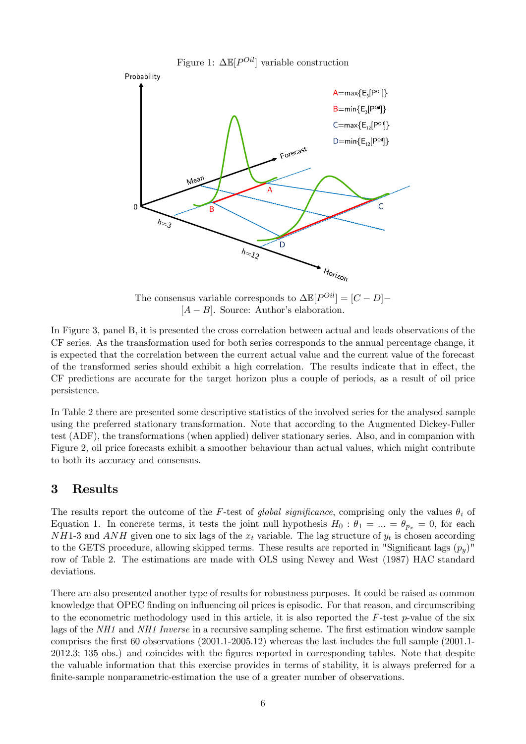

The consensus variable corresponds to  $\Delta \mathbb{E}[P^{Oil}] = [C - D] [A - B]$ . Source: Author's elaboration.

In Figure 3, panel B, it is presented the cross correlation between actual and leads observations of the CF series. As the transformation used for both series corresponds to the annual percentage change, it is expected that the correlation between the current actual value and the current value of the forecast of the transformed series should exhibit a high correlation. The results indicate that in effect, the CF predictions are accurate for the target horizon plus a couple of periods, as a result of oil price persistence.

In Table 2 there are presented some descriptive statistics of the involved series for the analysed sample using the preferred stationary transformation. Note that according to the Augmented Dickey-Fuller test (ADF), the transformations (when applied) deliver stationary series. Also, and in companion with Figure 2, oil price forecasts exhibit a smoother behaviour than actual values, which might contribute to both its accuracy and consensus.

#### 3 Results

The results report the outcome of the F-test of global significance, comprising only the values  $\theta_i$  of Equation 1. In concrete terms, it tests the joint null hypothesis  $H_0: \theta_1 = ... = \theta_{p_x} = 0$ , for each  $NH1-3$  and  $ANH$  given one to six lags of the  $x_t$  variable. The lag structure of  $y_t$  is chosen according to the GETS procedure, allowing skipped terms. These results are reported in "Significant lags  $(p_y)$ " row of Table 2. The estimations are made with OLS using Newey and West (1987) HAC standard deviations.

There are also presented another type of results for robustness purposes. It could be raised as common knowledge that OPEC finding on influencing oil prices is episodic. For that reason, and circumscribing to the econometric methodology used in this article, it is also reported the  $F$ -test  $p$ -value of the six lags of the  $NH1$  and  $NH1$  Inverse in a recursive sampling scheme. The first estimation window sample comprises the first 60 observations  $(2001.1-2005.12)$  whereas the last includes the full sample  $(2001.1-$ 2012.3; 135 obs.) and coincides with the Ögures reported in corresponding tables. Note that despite the valuable information that this exercise provides in terms of stability, it is always preferred for a finite-sample nonparametric-estimation the use of a greater number of observations.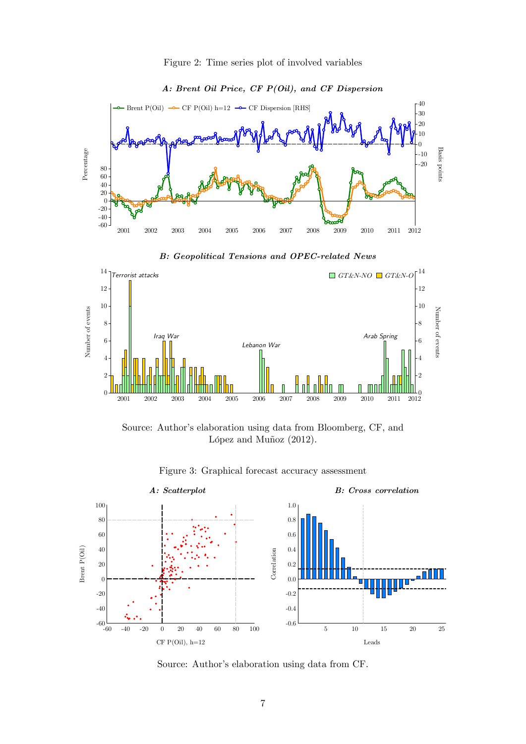



#### A: Brent Oil Price, CF  $P(Oil)$ , and CF Dispersion









Figure 3: Graphical forecast accuracy assessment

Source: Author's elaboration using data from CF.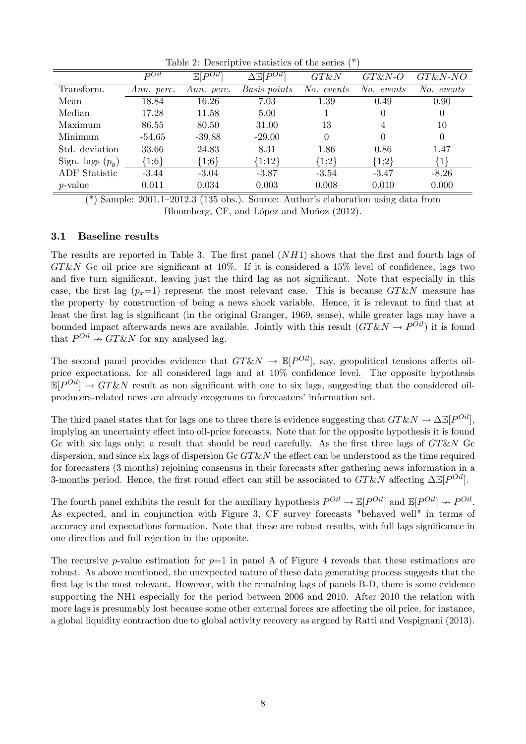|                      | $\overline{D}$ Oil | $\overline{\mathbb{E}[P^{Oil}]}$ | $\Delta \mathbb{E}[\overline{P^{Oil}}]$ | $G T \& N$ | $G T \& N-O$     | $G T \& N-NO$ |
|----------------------|--------------------|----------------------------------|-----------------------------------------|------------|------------------|---------------|
| Transform.           | Ann. perc.         | Ann. perc.                       | Basis points                            | No. events | No. events       | $No.$ events  |
| Mean                 | 18.84              | 16.26                            | 7.03                                    | 1.39       | 0.49             | 0.90          |
| Median               | 17.28              | 11.58                            | 5.00                                    |            | $\left( \right)$ | 0             |
| Maximum              | 86.55              | 80.50                            | 31.00                                   | 13         | 4                | 10            |
| Minimum              | $-54.65$           | $-39.88$                         | $-29.00$                                | 0          | $\Omega$         | 0             |
| Std. deviation       | 33.66              | 24.83                            | 8.31                                    | 1.86       | 0.86             | 1.47          |
| Sign. lags $(p_y)$   | ${1,6}$            | ${1,6}$                          | ${1;12}$                                | ${1;2}$    | ${1;2}$          | ${1}$         |
| <b>ADF</b> Statistic | $-3.44$            | $-3.04$                          | $-3.87$                                 | $-3.54$    | $-3.47$          | $-8.26$       |
| $p$ -value           | 0.011              | 0.034                            | 0.003                                   | 0.008      | 0.010            | 0.000         |

Table 2: Descriptive statistics of the series (\*)

(\*) Sample:  $2001.1-2012.3$  (135 obs.). Source: Author's elaboration using data from Bloomberg, CF, and López and Muñoz (2012).

#### 3.1 Baseline results

The results are reported in Table 3. The first panel  $(NH1)$  shows that the first and fourth lags of  $GT\&N$  Gc oil price are significant at 10%. If it is considered a 15% level of confidence, lags two and five turn significant, leaving just the third lag as not significant. Note that especially in this case, the first lag  $(p_x=1)$  represent the most relevant case. This is because GT&N measure has the property-by construction-of being a news shock variable. Hence, it is relevant to find that at least the first lag is significant (in the original Granger, 1969, sense), while greater lags may have a bounded impact afterwards news are available. Jointly with this result  $(GT\&N \to P^{Oil})$  it is found that  $P^{Oil} \nightharpoonup GT\&N$  for any analysed lag.

The second panel provides evidence that  $GT\&N \to \mathbb{E}[P^{0il}]$ , say, geopolitical tensions affects oilprice expectations, for all considered lags and at  $10\%$  confidence level. The opposite hypothesis  $\mathbb{E}[P^{Oil}] \to GT\&N$  result as non significant with one to six lags, suggesting that the considered oilproducers-related news are already exogenous to forecasters' information set.

The third panel states that for lags one to three there is evidence suggesting that  $G T \& N \to \Delta \mathbb{E}[P^{Oil}],$ implying an uncertainty effect into oil-price forecasts. Note that for the opposite hypothesis it is found Gc with six lags only; a result that should be read carefully. As the first three lags of  $GT\&N$  Gc dispersion, and since six lags of dispersion  $Gc$   $GT\&N$  the effect can be understood as the time required for forecasters (3 months) rejoining consensus in their forecasts after gathering news information in a 3-months period. Hence, the first round effect can still be associated to  $GT\&N$  affecting  $\Delta\mathbb{E}[P^{Oil}]$ .

The fourth panel exhibits the result for the auxiliary hypothesis  $P^{Oil} \to \mathbb{E}[P^{Oil}]$  and  $\mathbb{E}[P^{Oil}] \to P^{Oil}$ . As expected, and in conjunction with Figure 3, CF survey forecasts "behaved well" in terms of accuracy and expectations formation. Note that these are robust results, with full lags significance in one direction and full rejection in the opposite.

The recursive p-value estimation for  $p=1$  in panel A of Figure 4 reveals that these estimations are robust. As above mentioned, the unexpected nature of these data generating process suggests that the first lag is the most relevant. However, with the remaining lags of panels B-D, there is some evidence supporting the NH1 especially for the period between 2006 and 2010. After 2010 the relation with more lags is presumably lost because some other external forces are affecting the oil price, for instance, a global liquidity contraction due to global activity recovery as argued by Ratti and Vespignani (2013).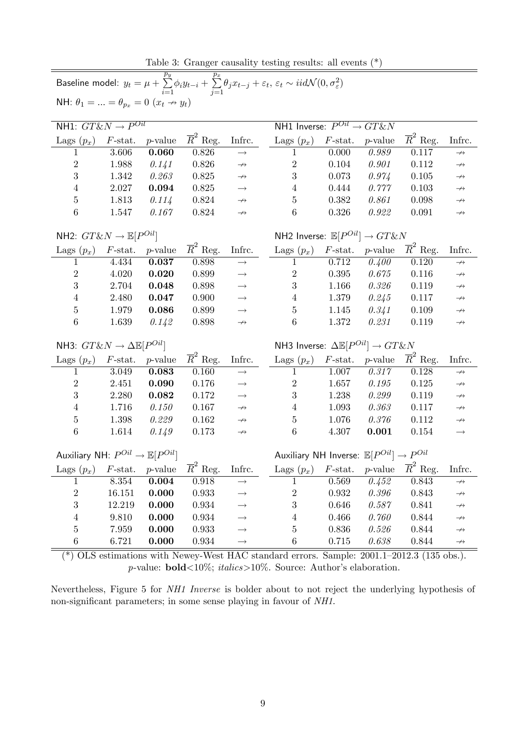Table 3: Granger causality testing results: all events (\*)

| Baseline model: $y_t = \mu + \sum_{i=1}^{p_y} \phi_i y_{t-i} + \sum_{i=1}^{p_x} \theta_j x_{t-j} + \varepsilon_t, \, \varepsilon_t \sim \textit{iidN}(0, \sigma^2_{\varepsilon})$ |                  |            |                                     |                                                                 |                                                             |                                                                                                                                                                        |                    |                       |                   |  |  |  |
|-----------------------------------------------------------------------------------------------------------------------------------------------------------------------------------|------------------|------------|-------------------------------------|-----------------------------------------------------------------|-------------------------------------------------------------|------------------------------------------------------------------------------------------------------------------------------------------------------------------------|--------------------|-----------------------|-------------------|--|--|--|
| NH: $\theta_1 =  = \theta_{p_x} = 0$ $(x_t \rightarrow y_t)$                                                                                                                      |                  |            |                                     |                                                                 |                                                             |                                                                                                                                                                        |                    |                       |                   |  |  |  |
| NH1: $G T \& N \rightarrow P^{Oil}$                                                                                                                                               |                  |            |                                     | NH1 Inverse: $P^{Oil} \rightarrow GT\&N$                        |                                                             |                                                                                                                                                                        |                    |                       |                   |  |  |  |
| Lags $(p_x)$                                                                                                                                                                      | $F$ -stat.       | $p$ -value | $\overline{R}^2$ Reg.               | Infrc.                                                          | Lags $(p_x)$                                                | $F$ -stat.                                                                                                                                                             | $p$ -value         | $\overline{R}^2$ Reg. | Infrc.            |  |  |  |
| 1                                                                                                                                                                                 | 3.606            | 0.060      | 0.826                               | $\rightarrow$                                                   | 1                                                           | 0.000                                                                                                                                                                  | 0.989              | 0.117                 | $\rightarrowtail$ |  |  |  |
| $\overline{2}$                                                                                                                                                                    | 1.988            | 0.141      | 0.826                               | $\rightarrowtail$                                               | $\boldsymbol{2}$                                            | 0.104                                                                                                                                                                  | 0.901              | 0.112                 | $\rightarrowtail$ |  |  |  |
| 3                                                                                                                                                                                 | 1.342            | 0.263      | 0.825                               | $\rightarrowtail$                                               | 3                                                           | 0.073                                                                                                                                                                  | 0.974              | 0.105                 | $\rightarrowtail$ |  |  |  |
| $\overline{4}$                                                                                                                                                                    | 2.027            | 0.094      | 0.825                               | $\longrightarrow$                                               | $\overline{4}$                                              | 0.444                                                                                                                                                                  | 0.777              | 0.103                 | $\rightarrowtail$ |  |  |  |
| $\bf 5$                                                                                                                                                                           | 1.813            | 0.114      | 0.824                               | $\rightarrowtail$                                               | 5                                                           | 0.382                                                                                                                                                                  | 0.861              | 0.098                 | $\rightarrowtail$ |  |  |  |
| $\boldsymbol{6}$                                                                                                                                                                  | 1.547            | 0.167      | 0.824                               | $\rightarrow$                                                   | 6                                                           | 0.326                                                                                                                                                                  | 0.922              | 0.091                 | $\rightarrowtail$ |  |  |  |
| NH2: $GT\&N \rightarrow \mathbb{E}[P^{Oil}]$                                                                                                                                      |                  |            |                                     |                                                                 |                                                             | NH2 Inverse: $\mathbb{E}[P^{Oil}] \rightarrow GT\&N$<br>$\overline{R}^2$ Reg.<br>Lags $(p_x)$<br>$p$ -value<br>Infrc.<br>$F$ -stat.<br>0.120<br>1<br>$\rightarrowtail$ |                    |                       |                   |  |  |  |
| Lags $(p_x)$                                                                                                                                                                      | $F$ -stat.       | $p$ -value | $\overline{R}^2$ Reg.               | Infrc.                                                          |                                                             |                                                                                                                                                                        |                    |                       |                   |  |  |  |
| 1                                                                                                                                                                                 | 4.434            | 0.037      | 0.898                               | $\longrightarrow$                                               |                                                             | 0.712                                                                                                                                                                  | $\overline{0.400}$ |                       |                   |  |  |  |
| $\overline{2}$                                                                                                                                                                    | 4.020            | 0.020      | 0.899                               | $\longrightarrow$                                               | $\overline{2}$                                              | $0.395\,$                                                                                                                                                              | 0.675              | 0.116                 | $\rightarrowtail$ |  |  |  |
| 3                                                                                                                                                                                 | 2.704            | 0.048      | 0.898                               | $\longrightarrow$                                               | 3                                                           | 1.166                                                                                                                                                                  | 0.326              | 0.119                 | $\rightarrowtail$ |  |  |  |
| $\overline{4}$                                                                                                                                                                    | 2.480            | 0.047      | 0.900                               | $\longrightarrow$                                               | $\overline{4}$                                              | 1.379                                                                                                                                                                  | 0.245              | 0.117                 | $\rightarrowtail$ |  |  |  |
| $\overline{5}$                                                                                                                                                                    | 1.979            | 0.086      | 0.899                               | $\rightarrow$                                                   | $\overline{5}$                                              | 1.145                                                                                                                                                                  | 0.341              | 0.109                 | $\rightarrowtail$ |  |  |  |
| $\boldsymbol{6}$                                                                                                                                                                  | 1.639            | 0.142      | 0.898                               | $\rightarrowtail$                                               | $6\phantom{.}6$                                             | 1.372                                                                                                                                                                  | 0.231              | 0.119                 | $\rightarrowtail$ |  |  |  |
| NH3: $G T \& N \rightarrow \Delta \mathbb{E}[P^{Oil}]$                                                                                                                            |                  |            |                                     |                                                                 | NH3 Inverse: $\Delta \mathbb{E}[P^{Oil}] \rightarrow GT\&N$ |                                                                                                                                                                        |                    |                       |                   |  |  |  |
| Lags $(p_x)$                                                                                                                                                                      | $F\text{-stat.}$ | $p$ -value | $\overline{R}^2$ Reg.               | Infrc.                                                          | Lags $(p_x)$                                                | $F$ -stat.                                                                                                                                                             | $p$ -value         | $\overline{R}^2$ Reg. | Infrc.            |  |  |  |
| 1                                                                                                                                                                                 | 3.049            | 0.083      | 0.160                               | $\longrightarrow$                                               | 1                                                           | 1.007                                                                                                                                                                  | $\overline{0.317}$ | 0.128                 | $\rightarrowtail$ |  |  |  |
| $\sqrt{2}$                                                                                                                                                                        | 2.451            | 0.090      | 0.176                               | $\longrightarrow$                                               | $\overline{2}$                                              | 1.657                                                                                                                                                                  | 0.195              | 0.125                 | $\rightarrowtail$ |  |  |  |
| 3                                                                                                                                                                                 | 2.280            | 0.082      | 0.172                               | $\longrightarrow$                                               | 3                                                           | 1.238                                                                                                                                                                  | 0.299              | 0.119                 | $\rightarrowtail$ |  |  |  |
| $\overline{4}$                                                                                                                                                                    | 1.716            | 0.150      | 0.167                               | $\rightarrow$                                                   | $\overline{4}$                                              | 1.093                                                                                                                                                                  | 0.363              | 0.117                 | $\rightarrowtail$ |  |  |  |
| $\overline{5}$                                                                                                                                                                    | 1.398            | 0.229      | 0.162                               | $\rightarrow$                                                   | $\bf 5$                                                     | 1.076                                                                                                                                                                  | 0.376              | 0.112                 | $\rightarrowtail$ |  |  |  |
| $\boldsymbol{6}$                                                                                                                                                                  | 1.614            | 0.149      | 0.173                               | $\rightarrow$                                                   | 6                                                           | 4.307                                                                                                                                                                  | 0.001              | 0.154                 | $\rightarrow$     |  |  |  |
| Auxiliary NH: $P^{Oil} \rightarrow \mathbb{E}[P^{Oil}]$                                                                                                                           |                  |            |                                     | Auxiliary NH Inverse: $\mathbb{E}[P^{Oil}] \rightarrow P^{Oil}$ |                                                             |                                                                                                                                                                        |                    |                       |                   |  |  |  |
| Lags $(p_x)$ F-stat. <i>p</i> -value                                                                                                                                              |                  |            | $\overline{R}^2$ Reg.               | Infrc.                                                          | Lags $(p_x)$ F-stat. p-value $\overline{R}^2$ Reg. Infrc.   |                                                                                                                                                                        |                    |                       |                   |  |  |  |
| 1                                                                                                                                                                                 | 8.354            | 0.004      | 0.918                               | $\rightarrow$                                                   | 1                                                           | 0.569                                                                                                                                                                  | 0.452              | 0.843                 | $\leftrightarrow$ |  |  |  |
| $\overline{c}$                                                                                                                                                                    | 16.151           | 0.000      | 0.933                               | $\longrightarrow$                                               | $\overline{c}$                                              | 0.932                                                                                                                                                                  | 0.396              | 0.843                 | $\nrightarrow$    |  |  |  |
| 3                                                                                                                                                                                 | 12.219           | 0.000      | 0.934                               | $\rightarrow$                                                   | 3                                                           | 0.646                                                                                                                                                                  | 0.587              | 0.841                 | $\rightarrowtail$ |  |  |  |
| $\overline{4}$                                                                                                                                                                    | 9.810            | 0.000      | 0.934                               | $\rightarrow$                                                   | 4                                                           | 0.466                                                                                                                                                                  | 0.760              | 0.844                 | $\nrightarrow$    |  |  |  |
| 5                                                                                                                                                                                 | 7.959            | 0.000      | 0.933                               | $\longrightarrow$                                               | 5                                                           | 0.836                                                                                                                                                                  | 0.526              | 0.844                 | $\rightarrow$     |  |  |  |
| 6                                                                                                                                                                                 | 6.721            | 0.000      | 0.934                               | $\rightarrow$                                                   | 6                                                           | 0.715                                                                                                                                                                  | 0.638              | 0.844                 | $\rightarrow$     |  |  |  |
| $\sqrt{2}$ $\sqrt{2}$                                                                                                                                                             |                  | 211. NL    | $\overline{\mathbf{X}\mathbf{X}^T}$ | TT $\Lambda \cap$                                               |                                                             | $\alpha$ .<br>$\overline{1}$                                                                                                                                           |                    | 0.0011 0.010 0.195    |                   |  |  |  |

(\*) OLS estimations with Newey-West HAC standard errors. Sample:  $2001.1-2012.3$  (135 obs.). p-value:  $bold < 10\%$ ;  $italics > 10\%$ . Source: Author's elaboration.

Nevertheless, Figure 5 for NH1 Inverse is bolder about to not reject the underlying hypothesis of non-significant parameters; in some sense playing in favour of NH1.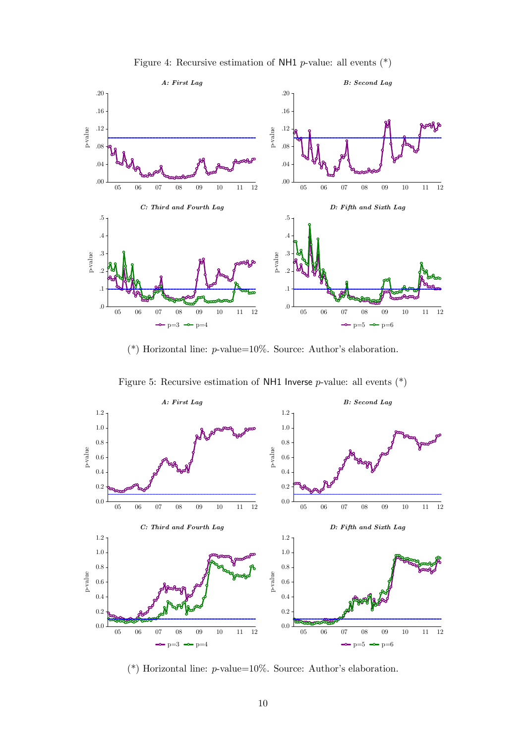

Figure 4: Recursive estimation of NH1 *p*-value: all events  $(*)$ 

(\*) Horizontal line:  $p$ -value=10%. Source: Author's elaboration.





(\*) Horizontal line:  $p$ -value=10%. Source: Author's elaboration.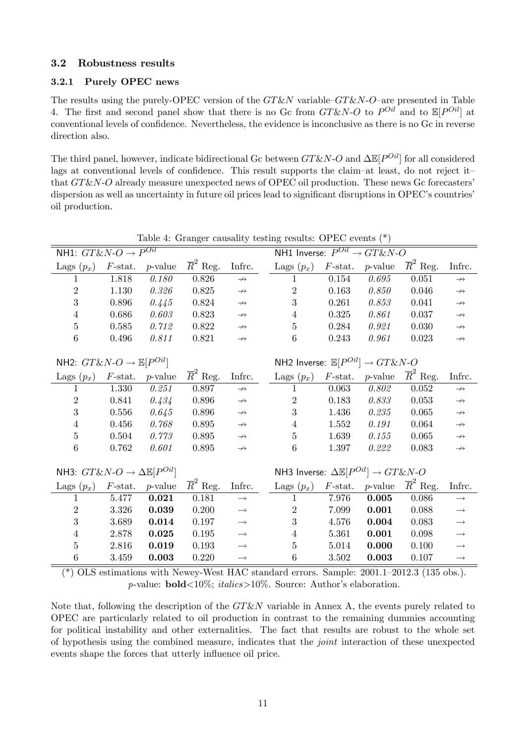#### 3.2 Robustness results

#### 3.2.1 Purely OPEC news

The results using the purely-OPEC version of the  $GT\&N$  variable– $GT\&N$ -O-are presented in Table 4. The first and second panel show that there is no Gc from  $GT\&N-O$  to  $P^{Oil}$  and to  $\mathbb{E}[P^{Oil}]$  at conventional levels of confidence. Nevertheless, the evidence is inconclusive as there is no Gc in reverse direction also.

The third panel, however, indicate bidirectional Gc between  $G T \& N$ -O and  $\Delta \mathbb{E}[P^{Oil}]$  for all considered lags at conventional levels of confidence. This result supports the claim–at least, do not reject it that  $GT\&N-O$  already measure unexpected news of OPEC oil production. These news Gc forecasters' dispersion as well as uncertainty in future oil prices lead to significant disruptions in OPEC's countries' oil production.

| Table 4: Granger causality testing results: OPEC events (") |                  |            |                       |                   |  |                                                               |                  |            |                       |                                                                                                                                  |  |  |  |  |  |
|-------------------------------------------------------------|------------------|------------|-----------------------|-------------------|--|---------------------------------------------------------------|------------------|------------|-----------------------|----------------------------------------------------------------------------------------------------------------------------------|--|--|--|--|--|
| NH1: $GT\&N-O \rightarrow P^{Oil}$                          |                  |            |                       |                   |  | NH1 Inverse: $P^{Oil} \rightarrow G T \& N \cdot O$           |                  |            |                       |                                                                                                                                  |  |  |  |  |  |
| Lags $(p_x)$                                                | $F$ -stat.       | $p$ -value | $\overline{R}^2$ Reg. | Infrc.            |  | Lags $(p_x)$                                                  | $F\text{-stat.}$ | $p$ -value | $\overline{R}^2$ Reg. | Infrc.                                                                                                                           |  |  |  |  |  |
| 1                                                           | 1.818            | 0.180      | 0.826                 | $\rightarrow$     |  | 1                                                             | 0.154            | 0.695      | 0.051                 | $\rightarrowtail$                                                                                                                |  |  |  |  |  |
| $\sqrt{2}$                                                  | 1.130            | 0.326      | 0.825                 | $\rightarrow$     |  | $\overline{2}$                                                | 0.163            | 0.850      | $0.046\,$             | $\rightarrowtail$                                                                                                                |  |  |  |  |  |
| 3                                                           | 0.896            | 0.445      | 0.824                 | $\rightarrow$     |  | 3                                                             | 0.261            | 0.853      | 0.041                 | $\rightarrowtail$                                                                                                                |  |  |  |  |  |
| 4                                                           | 0.686            | 0.603      | 0.823                 | $\rightarrow$     |  | $\overline{4}$                                                | 0.325            | 0.861      | 0.037                 | $\rightarrowtail$                                                                                                                |  |  |  |  |  |
| $\overline{5}$                                              | 0.585            | 0.712      | 0.822                 | $\rightarrowtail$ |  | $\overline{5}$                                                | 0.284            | 0.921      | 0.030                 | $\rightarrowtail$                                                                                                                |  |  |  |  |  |
| 6                                                           | $0.496\,$        | 0.811      | 0.821                 | $\rightarrowtail$ |  | 6                                                             | 0.243            | 0.961      | 0.023                 | $\rightarrowtail$                                                                                                                |  |  |  |  |  |
| NH2: $G T \& N \cdot O \rightarrow \mathbb{E}[P^{Oil}]$     |                  |            |                       |                   |  | NH2 Inverse: $\mathbb{E}[P^{Oil}] \rightarrow GT\&N-O$        |                  |            |                       | Infrc.<br>$\rightarrow$<br>$\rightarrowtail$<br>$\rightarrowtail$<br>$\rightarrowtail$<br>$\rightarrowtail$<br>$\rightarrowtail$ |  |  |  |  |  |
| Lags $(p_x)$                                                | $F$ -stat.       | $p$ -value | $\overline{R}^2$ Reg. | Infrc.            |  | Lags $(p_x)$                                                  | $F$ -stat.       | $p$ -value | $\overline{R}^2$ Reg. |                                                                                                                                  |  |  |  |  |  |
| 1                                                           | 1.330            | 0.251      | 0.897                 | $\rightarrow$     |  | 1                                                             | 0.063            | 0.802      | 0.052                 |                                                                                                                                  |  |  |  |  |  |
| $\sqrt{2}$                                                  | 0.841            | 0.434      | $0.896\,$             | $\rightarrow$     |  | $\overline{2}$                                                | 0.183            | 0.833      | 0.053                 |                                                                                                                                  |  |  |  |  |  |
| 3                                                           | 0.556            | 0.645      | 0.896                 | $\rightarrowtail$ |  | 3                                                             | 1.436            | 0.235      | 0.065                 |                                                                                                                                  |  |  |  |  |  |
| 4                                                           | 0.456            | 0.768      | 0.895                 | $\rightarrowtail$ |  | $\overline{4}$                                                | 1.552            | 0.191      | 0.064                 |                                                                                                                                  |  |  |  |  |  |
| 5                                                           | 0.504            | 0.773      | 0.895                 | $\rightarrowtail$ |  | $\overline{5}$                                                | 1.639            | 0.155      | 0.065                 |                                                                                                                                  |  |  |  |  |  |
| 6                                                           | 0.762            | 0.601      | 0.895                 | $\rightarrow$     |  | 6                                                             | 1.397            | 0.222      | 0.083                 |                                                                                                                                  |  |  |  |  |  |
|                                                             |                  |            |                       |                   |  |                                                               |                  |            |                       |                                                                                                                                  |  |  |  |  |  |
| NH3: $G T \& N \rightarrow \Delta \mathbb{E}[P^{Oil}]$      |                  |            |                       |                   |  | NH3 Inverse: $\Delta \mathbb{E}[P^{Oil}] \rightarrow GT\&N-O$ |                  |            |                       |                                                                                                                                  |  |  |  |  |  |
| Lags $(p_x)$                                                | $F\text{-stat.}$ | $p$ -value | $\overline{R}^2$ Reg. | Infrc.            |  | Lags $(p_x)$                                                  | $F$ -stat.       | $p$ -value | $\overline{R}^2$ Reg. | Infrc.                                                                                                                           |  |  |  |  |  |
| 1                                                           | 5.477            | 0.021      | 0.181                 | $\rightarrow$     |  |                                                               | 7.976            | 0.005      | 0.086                 | $\longrightarrow$                                                                                                                |  |  |  |  |  |
| $\overline{2}$                                              | 3.326            | 0.039      | 0.200                 | $\longrightarrow$ |  | $\overline{2}$                                                | 7.099            | 0.001      | 0.088                 | $\longrightarrow$                                                                                                                |  |  |  |  |  |
| 3                                                           | 3.689            | 0.014      | 0.197                 | $\rightarrow$     |  | 3                                                             | 4.576            | 0.004      | 0.083                 | $\longrightarrow$                                                                                                                |  |  |  |  |  |
| $\overline{\mathbf{4}}$                                     | 2.878            | 0.025      | 0.195                 | $\longrightarrow$ |  | $\overline{4}$                                                | 5.361            | 0.001      | 0.098                 | $\longrightarrow$                                                                                                                |  |  |  |  |  |
| $\overline{5}$                                              | 2.816            | 0.019      | 0.193                 | $\rightarrow$     |  | $\overline{5}$                                                | 5.014            | 0.000      | 0.100                 | $\longrightarrow$                                                                                                                |  |  |  |  |  |
| $\boldsymbol{6}$                                            | 3.459            | 0.003      | 0.220                 | $\rightarrow$     |  | $6\phantom{.}6$                                               | 3.502            | 0.003      | 0.107                 | $\rightarrow$                                                                                                                    |  |  |  |  |  |

Table 4: Granger causality testing results: OPEC events (\*)

(\*) OLS estimations with Newey-West HAC standard errors. Sample:  $2001.1-2012.3$  (135 obs.). p-value: **bold**<10%; *italics*>10%. Source: Author's elaboration.

Note that, following the description of the  $GT\&N$  variable in Annex A, the events purely related to OPEC are particularly related to oil production in contrast to the remaining dummies accounting for political instability and other externalities. The fact that results are robust to the whole set of hypothesis using the combined measure, indicates that the joint interaction of these unexpected events shape the forces that utterly influence oil price.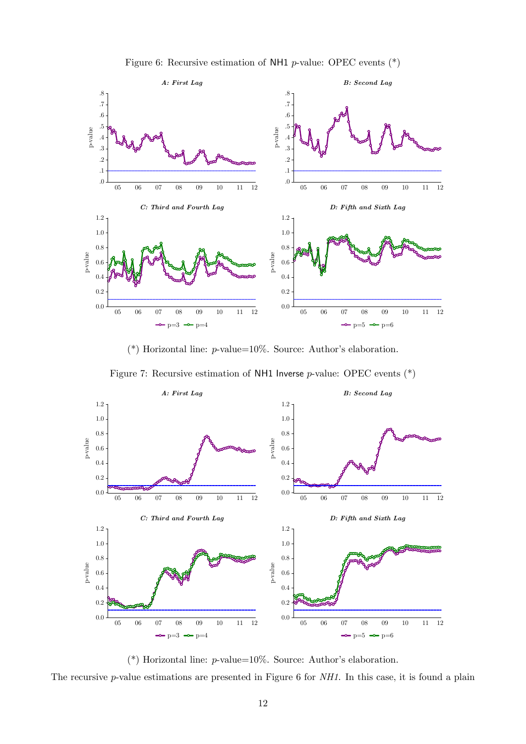

Figure 6: Recursive estimation of NH1  $p$ -value: OPEC events  $(*)$ 

(\*) Horizontal line:  $p$ -value=10%. Source: Author's elaboration.

Figure 7: Recursive estimation of NH1 Inverse  $p$ -value: OPEC events  $(*)$ 



(\*) Horizontal line:  $p$ -value=10%. Source: Author's elaboration.

The recursive *p*-value estimations are presented in Figure 6 for NH1. In this case, it is found a plain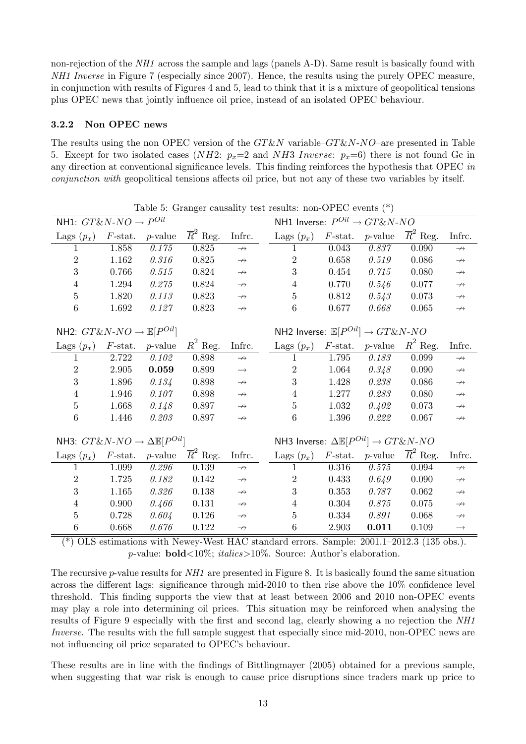non-rejection of the  $NH1$  across the sample and lags (panels A-D). Same result is basically found with NH1 Inverse in Figure 7 (especially since 2007). Hence, the results using the purely OPEC measure, in conjunction with results of Figures 4 and 5, lead to think that it is a mixture of geopolitical tensions plus OPEC news that jointly ináuence oil price, instead of an isolated OPEC behaviour.

#### 3.2.2 Non OPEC news

The results using the non OPEC version of the  $GT\&N$  variable– $GT\&N-NO$  are presented in Table 5. Except for two isolated cases (NH2:  $p_x=2$  and NH3 Inverse:  $p_x=6$ ) there is not found Gc in any direction at conventional significance levels. This finding reinforces the hypothesis that OPEC in conjunction with geopolitical tensions affects oil price, but not any of these two variables by itself.

| Table 5: Granger causality test results: non-OPEC events $(*)$                               |                  |            |                       |                   |                                                                       |                                                    |                                  |                       |                   |  |  |
|----------------------------------------------------------------------------------------------|------------------|------------|-----------------------|-------------------|-----------------------------------------------------------------------|----------------------------------------------------|----------------------------------|-----------------------|-------------------|--|--|
| NH1: $GT\&N-NO \rightarrow P^{Oil}$                                                          |                  |            |                       |                   |                                                                       | NH1 Inverse: $P^{Oil} \rightarrow GT\&N\text{-}NO$ |                                  |                       |                   |  |  |
| Lags $(p_x)$                                                                                 | $F$ -stat.       | $p$ -value | $\overline{R}^2$ Reg. | Infrc.            | Lags $(p_x)$                                                          | $F$ -stat.                                         | $p$ -value                       | $\overline{R}^2$ Reg. | Infrc.            |  |  |
| 1                                                                                            | 1.858            | 0.175      | 0.825                 | $\rightarrow$     | 1                                                                     | 0.043                                              | 0.837                            | 0.090                 | $\rightarrow$     |  |  |
| $\overline{2}$                                                                               | 1.162            | 0.316      | 0.825                 | $\rightarrowtail$ | $\overline{2}$                                                        | 0.658                                              | 0.519                            | 0.086                 | $\rightarrowtail$ |  |  |
| 3                                                                                            | 0.766            | 0.515      | 0.824                 | $\rightarrowtail$ | 3                                                                     | 0.454                                              | 0.715                            | 0.080                 | $\rightarrowtail$ |  |  |
| $\overline{4}$                                                                               | 1.294            | 0.275      | 0.824                 | $\rightarrowtail$ | 4                                                                     | 0.770                                              | 0.546                            | 0.077                 | $\rightarrowtail$ |  |  |
| $\overline{5}$                                                                               | 1.820            | 0.113      | 0.823                 | $\rightarrow$     | 5                                                                     | 0.812                                              | 0.543                            | 0.073                 | $\rightarrowtail$ |  |  |
| 6                                                                                            | 1.692            | 0.127      | 0.823                 | $\rightarrowtail$ | 6                                                                     | 0.677                                              | 0.668                            | 0.065                 | $\rightarrowtail$ |  |  |
|                                                                                              |                  |            |                       |                   |                                                                       |                                                    |                                  |                       |                   |  |  |
| NH2: $G T \& N\text{-}NO \rightarrow \mathbb{E}[P^{Oil}]$                                    |                  |            |                       |                   | NH2 Inverse: $\mathbb{E}[P^{Oil}] \rightarrow GT\&N-NO$               |                                                    |                                  |                       |                   |  |  |
| Lags $(p_x)$                                                                                 | $F$ -stat.       | $p$ -value | $\overline{R}^2$ Reg. | Infrc.            | Lags $(p_x)$                                                          | $F\text{-stat.}$                                   | $p$ -value                       | $\overline{R}^2$ Reg. | Infrc.            |  |  |
| 1                                                                                            | 2.722            | 0.102      | 0.898                 | $\rightarrow$     | 1                                                                     | 1.795                                              | 0.183                            | 0.099                 | $\rightarrow$     |  |  |
| $\overline{2}$                                                                               | 2.905            | 0.059      | 0.899                 | $\longrightarrow$ | $\overline{2}$                                                        | 1.064                                              | 0.348                            | 0.090                 | $\rightarrowtail$ |  |  |
| 3                                                                                            | 1.896            | 0.134      | 0.898                 | $\rightarrow$     | 3                                                                     | 1.428                                              | 0.238                            | 0.086                 | $\rightarrowtail$ |  |  |
| $\,4\,$                                                                                      | 1.946            | 0.107      | 0.898                 | $\rightarrowtail$ | $\overline{4}$                                                        | 1.277                                              | 0.283                            | 0.080                 | $\rightarrowtail$ |  |  |
| $\mathbf 5$                                                                                  | 1.668            | 0.148      | 0.897                 | $\rightarrowtail$ | $\bf 5$                                                               | 1.032                                              | 0.402                            | 0.073                 | $\rightarrowtail$ |  |  |
| $\,6$                                                                                        | 1.446            | 0.203      | 0.897                 | $\rightarrow$     | 6                                                                     | 1.396                                              | 0.222                            | 0.067                 | $\rightarrowtail$ |  |  |
|                                                                                              |                  |            |                       |                   |                                                                       |                                                    |                                  |                       |                   |  |  |
| NH3: $G T \& N\text{-}NO \rightarrow \Delta \mathbb{E}[P^{Oil}]$                             |                  |            |                       |                   | NH3 Inverse: $\Delta \mathbb{E}[P^{Oil}] \rightarrow GT\&N\text{-}NO$ |                                                    |                                  |                       |                   |  |  |
| Lags $(p_x)$                                                                                 | $F\text{-stat.}$ | $p$ -value | $\overline{R}^2$ Reg. | Infrc.            | Lags $(p_x)$                                                          |                                                    | $F\text{-stat.}$ <i>p</i> -value | $\overline{R}^2$ Reg. | Infrc.            |  |  |
| 1                                                                                            | 1.099            | 0.296      | 0.139                 | $\rightarrow$     | 1                                                                     | 0.316                                              | 0.575                            | 0.094                 | $\rightarrow$     |  |  |
| $\overline{2}$                                                                               | 1.725            | 0.182      | 0.142                 | $\rightarrowtail$ | $\overline{2}$                                                        | 0.433                                              | 0.649                            | 0.090                 | $\rightarrowtail$ |  |  |
| $\boldsymbol{3}$                                                                             | 1.165            | 0.326      | 0.138                 | $\rightarrowtail$ | 3                                                                     | 0.353                                              | 0.787                            | 0.062                 | $\rightarrowtail$ |  |  |
| $\overline{4}$                                                                               | 0.900            | 0.466      | 0.131                 | $\rightarrowtail$ | 4                                                                     | 0.304                                              | 0.875                            | 0.075                 | $\rightarrowtail$ |  |  |
| $\bf 5$                                                                                      | 0.728            | 0.604      | 0.126                 | $\rightarrow$     | 5                                                                     | 0.334                                              | 0.891                            | 0.068                 | $\not\rightarrow$ |  |  |
| $\,6$                                                                                        | 0.668            | 0.676      | 0.122                 | $\rightarrowtail$ | $\,6$                                                                 | 2.903                                              | 0.011                            | 0.109                 | $\longrightarrow$ |  |  |
| (*) OI S optimations with Noway Wort HAC standard errors. Sample: 2001.1, 2012.3. (125 obs.) |                  |            |                       |                   |                                                                       |                                                    |                                  |                       |                   |  |  |

(\*) OLS estimations with Newey-West HAC standard errors. Sample:  $2001.1-2012.3$  (135 obs.). p-value:  $\text{bold} < 10\%$ ;  $\text{italics} > 10\%$ . Source: Author's elaboration.

The recursive *p*-value results for  $NH1$  are presented in Figure 8. It is basically found the same situation across the different lags: significance through mid-2010 to then rise above the  $10\%$  confidence level threshold. This finding supports the view that at least between 2006 and 2010 non-OPEC events may play a role into determining oil prices. This situation may be reinforced when analysing the results of Figure 9 especially with the first and second lag, clearly showing a no rejection the NH1 Inverse. The results with the full sample suggest that especially since mid-2010, non-OPEC news are not influencing oil price separated to OPEC's behaviour.

These results are in line with the findings of Bittlingmayer (2005) obtained for a previous sample, when suggesting that war risk is enough to cause price disruptions since traders mark up price to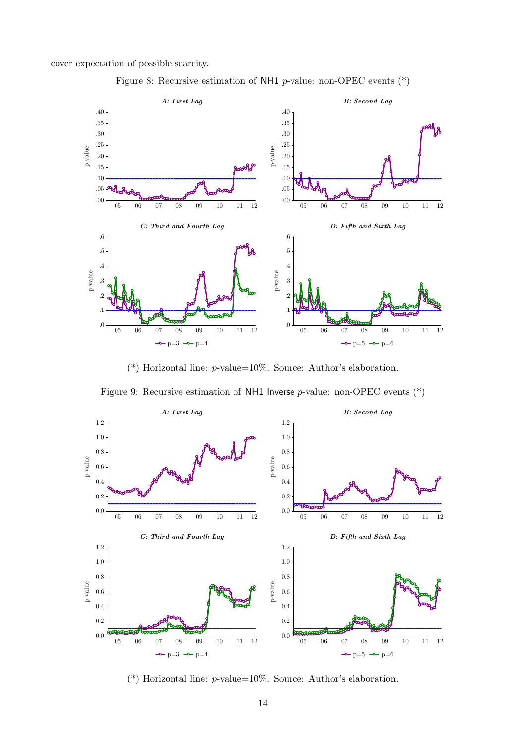cover expectation of possible scarcity.





(\*) Horizontal line:  $p$ -value=10%. Source: Author's elaboration.





(\*) Horizontal line:  $p$ -value=10%. Source: Author's elaboration.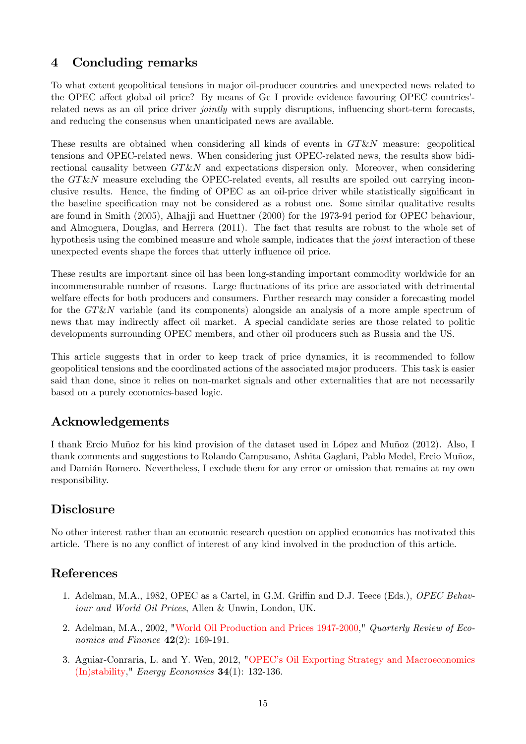## 4 Concluding remarks

To what extent geopolitical tensions in major oil-producer countries and unexpected news related to the OPEC affect global oil price? By means of Gc I provide evidence favouring OPEC countries<sup>7</sup>related news as an oil price driver *jointly* with supply disruptions, influencing short-term forecasts, and reducing the consensus when unanticipated news are available.

These results are obtained when considering all kinds of events in  $GT\&N$  measure: geopolitical tensions and OPEC-related news. When considering just OPEC-related news, the results show bidirectional causality between  $GT\&N$  and expectations dispersion only. Moreover, when considering the  $GT\&N$  measure excluding the OPEC-related events, all results are spoiled out carrying inconclusive results. Hence, the finding of OPEC as an oil-price driver while statistically significant in the baseline specification may not be considered as a robust one. Some similar qualitative results are found in Smith (2005), Alhajji and Huettner (2000) for the 1973-94 period for OPEC behaviour, and Almoguera, Douglas, and Herrera (2011). The fact that results are robust to the whole set of hypothesis using the combined measure and whole sample, indicates that the *joint* interaction of these unexpected events shape the forces that utterly influence oil price.

These results are important since oil has been long-standing important commodity worldwide for an incommensurable number of reasons. Large fluctuations of its price are associated with detrimental welfare effects for both producers and consumers. Further research may consider a forecasting model for the GT&N variable (and its components) alongside an analysis of a more ample spectrum of news that may indirectly affect oil market. A special candidate series are those related to politic developments surrounding OPEC members, and other oil producers such as Russia and the US.

This article suggests that in order to keep track of price dynamics, it is recommended to follow geopolitical tensions and the coordinated actions of the associated major producers. This task is easier said than done, since it relies on non-market signals and other externalities that are not necessarily based on a purely economics-based logic.

## Acknowledgements

I thank Ercio Muñoz for his kind provision of the dataset used in López and Muñoz (2012). Also, I thank comments and suggestions to Rolando Campusano, Ashita Gaglani, Pablo Medel, Ercio Muñoz, and Damián Romero. Nevertheless, I exclude them for any error or omission that remains at my own responsibility.

## **Disclosure**

No other interest rather than an economic research question on applied economics has motivated this article. There is no any conflict of interest of any kind involved in the production of this article.

## References

- 1. Adelman, M.A., 1982, OPEC as a Cartel, in G.M. Griffin and D.J. Teece (Eds.), OPEC Behaviour and World Oil Prices, Allen & Unwin, London, UK.
- 2. Adelman, M.A., 2002, "World Oil Production and Prices 1947-2000," Quarterly Review of Economics and Finance  $42(2)$ : 169-191.
- 3. Aguiar-Conraria, L. and Y. Wen, 2012, "OPEC's Oil Exporting Strategy and Macroeconomics (In)stability," Energy Economics 34(1): 132-136.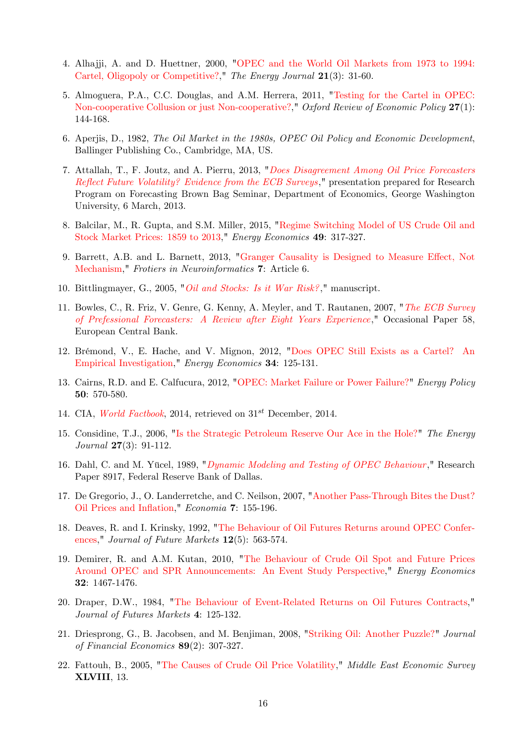- 4. Alhajji, A. and D. Huettner, 2000, "OPEC and the World Oil Markets from 1973 to 1994: Cartel, Oligopoly or Competitive?," The Energy Journal 21(3): 31-60.
- 5. Almoguera, P.A., C.C. Douglas, and A.M. Herrera, 2011, "Testing for the Cartel in OPEC: Non-cooperative Collusion or just Non-cooperative?," Oxford Review of Economic Policy 27(1): 144-168.
- 6. Aperjis, D., 1982, The Oil Market in the 1980s, OPEC Oil Policy and Economic Development, Ballinger Publishing Co., Cambridge, MA, US.
- 7. Attallah, T., F. Joutz, and A. Pierru, 2013, "Does Disagreement Among Oil Price Forecasters Reflect Future Volatility? Evidence from the ECB Surveys," presentation prepared for Research Program on Forecasting Brown Bag Seminar, Department of Economics, George Washington University, 6 March, 2013.
- 8. Balcilar, M., R. Gupta, and S.M. Miller, 2015, "Regime Switching Model of US Crude Oil and Stock Market Prices: 1859 to 2013," Energy Economics 49: 317-327.
- 9. Barrett, A.B. and L. Barnett, 2013, "Granger Causality is Designed to Measure Effect, Not Mechanism," Frotiers in Neuroinformatics 7: Article 6.
- 10. Bittlingmayer, G., 2005, "Oil and Stocks: Is it War Risk?," manuscript.
- 11. Bowles, C., R. Friz, V. Genre, G. Kenny, A. Meyler, and T. Rautanen, 2007, "The ECB Survey of Prefessional Forecasters: A Review after Eight Years Experience," Occasional Paper 58, European Central Bank.
- 12. BrÈmond, V., E. Hache, and V. Mignon, 2012, "Does OPEC Still Exists as a Cartel? An Empirical Investigation," Energy Economics 34: 125-131.
- 13. Cairns, R.D. and E. Calfucura, 2012, "OPEC: Market Failure or Power Failure?" Energy Policy 50: 570-580.
- 14. CIA, World Factbook, 2014, retrieved on  $31^{st}$  December, 2014.
- 15. Considine, T.J., 2006, "Is the Strategic Petroleum Reserve Our Ace in the Hole?" The Energy Journal 27(3): 91-112.
- 16. Dahl, C. and M. Yücel, 1989, "Dynamic Modeling and Testing of OPEC Behaviour," Research Paper 8917, Federal Reserve Bank of Dallas.
- 17. De Gregorio, J., O. Landerretche, and C. Neilson, 2007, "Another Pass-Through Bites the Dust? Oil Prices and Inflation," Economia 7: 155-196.
- 18. Deaves, R. and I. Krinsky, 1992, "The Behaviour of Oil Futures Returns around OPEC Conferences," Journal of Future Markets 12(5): 563-574.
- 19. Demirer, R. and A.M. Kutan, 2010, "The Behaviour of Crude Oil Spot and Future Prices Around OPEC and SPR Announcements: An Event Study Perspective," Energy Economics 32: 1467-1476.
- 20. Draper, D.W., 1984, "The Behaviour of Event-Related Returns on Oil Futures Contracts," Journal of Futures Markets 4: 125-132.
- 21. Driesprong, G., B. Jacobsen, and M. Benjiman, 2008, "Striking Oil: Another Puzzle?" Journal of Financial Economics 89(2): 307-327.
- 22. Fattouh, B., 2005, "The Causes of Crude Oil Price Volatility," Middle East Economic Survey XLVIII, 13.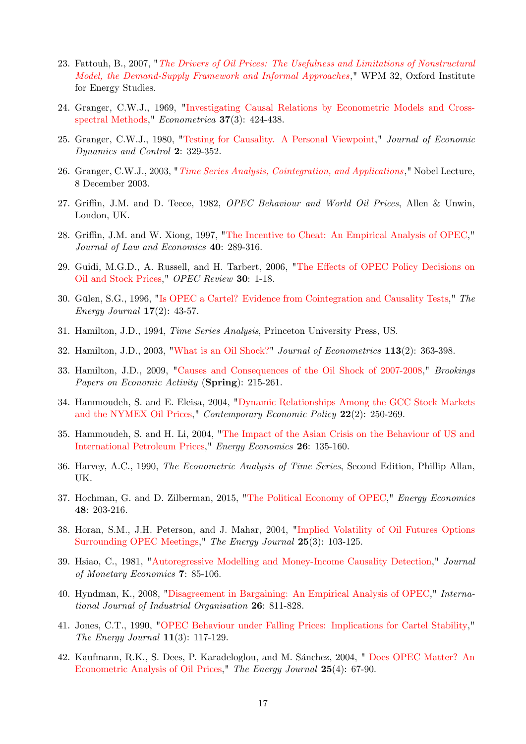- 23. Fattouh, B., 2007, "The Drivers of Oil Prices: The Usefulness and Limitations of Nonstructural Model, the Demand-Supply Framework and Informal Approaches," WPM 32, Oxford Institute for Energy Studies.
- 24. Granger, C.W.J., 1969, "Investigating Causal Relations by Econometric Models and Crossspectral Methods," Econometrica 37(3): 424-438.
- 25. Granger, C.W.J., 1980, "Testing for Causality. A Personal Viewpoint," Journal of Economic Dynamics and Control 2: 329-352.
- 26. Granger, C.W.J., 2003, "Time Series Analysis, Cointegration, and Applications," Nobel Lecture, 8 December 2003.
- 27. Griffin, J.M. and D. Teece, 1982, OPEC Behaviour and World Oil Prices, Allen & Unwin, London, UK.
- 28. Griffin, J.M. and W. Xiong, 1997, "The Incentive to Cheat: An Empirical Analysis of OPEC," Journal of Law and Economics 40: 289-316.
- 29. Guidi, M.G.D., A. Russell, and H. Tarbert, 2006, "The Effects of OPEC Policy Decisions on Oil and Stock Prices," OPEC Review 30: 1-18.
- 30. Gülen, S.G., 1996, "Is OPEC a Cartel? Evidence from Cointegration and Causality Tests," The *Energy Journal*  $17(2)$ : 43-57.
- 31. Hamilton, J.D., 1994, Time Series Analysis, Princeton University Press, US.
- 32. Hamilton, J.D., 2003, "What is an Oil Shock?" Journal of Econometrics 113(2): 363-398.
- 33. Hamilton, J.D., 2009, "Causes and Consequences of the Oil Shock of 2007-2008," Brookings Papers on Economic Activity (Spring): 215-261.
- 34. Hammoudeh, S. and E. Eleisa, 2004, "Dynamic Relationships Among the GCC Stock Markets and the NYMEX Oil Prices," Contemporary Economic Policy 22(2): 250-269.
- 35. Hammoudeh, S. and H. Li, 2004, "The Impact of the Asian Crisis on the Behaviour of US and International Petroleum Prices," Energy Economics 26: 135-160.
- 36. Harvey, A.C., 1990, The Econometric Analysis of Time Series, Second Edition, Phillip Allan, UK.
- 37. Hochman, G. and D. Zilberman, 2015, "The Political Economy of OPEC," Energy Economics 48: 203-216.
- 38. Horan, S.M., J.H. Peterson, and J. Mahar, 2004, "Implied Volatility of Oil Futures Options Surrounding OPEC Meetings," The Energy Journal 25(3): 103-125.
- 39. Hsiao, C., 1981, "Autoregressive Modelling and Money-Income Causality Detection," Journal of Monetary Economics 7: 85-106.
- 40. Hyndman, K., 2008, "Disagreement in Bargaining: An Empirical Analysis of OPEC," International Journal of Industrial Organisation 26: 811-828.
- 41. Jones, C.T., 1990, "OPEC Behaviour under Falling Prices: Implications for Cartel Stability," The Energy Journal  $11(3)$ : 117-129.
- 42. Kaufmann, R.K., S. Dees, P. Karadeloglou, and M. Sánchez, 2004, " Does OPEC Matter? An Econometric Analysis of Oil Prices," The Energy Journal 25(4): 67-90.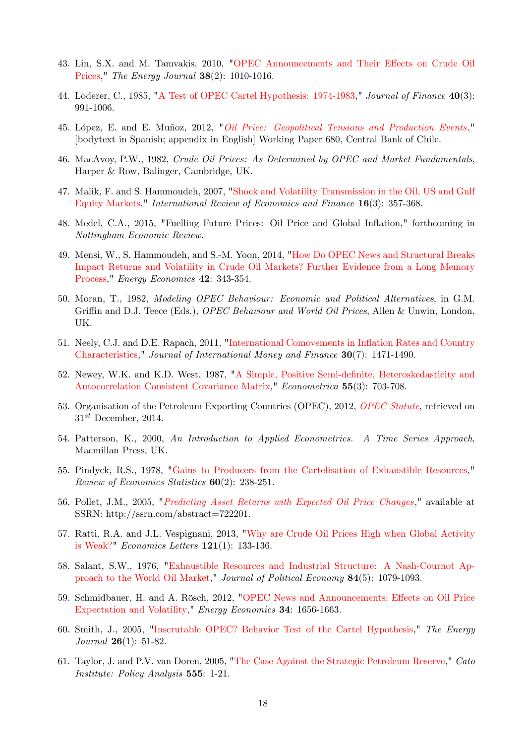- 43. Lin, S.X. and M. Tamvakis, 2010, "OPEC Announcements and Their Effects on Crude Oil Prices," The Energy Journal **38**(2): 1010-1016.
- 44. Loderer, C., 1985, "A Test of OPEC Cartel Hypothesis: 1974-1983," Journal of Finance 40(3): 991-1006.
- 45. López, E. and E. Muñoz, 2012, "*Oil Price: Geopolitical Tensions and Production Events*," [bodytext in Spanish; appendix in English] Working Paper 680, Central Bank of Chile.
- 46. MacAvoy, P.W., 1982, Crude Oil Prices: As Determined by OPEC and Market Fundamentals, Harper & Row, Balinger, Cambridge, UK.
- 47. Malik, F. and S. Hammoudeh, 2007, "Shock and Volatility Transmission in the Oil, US and Gulf Equity Markets," International Review of Economics and Finance 16(3): 357-368.
- 48. Medel, C.A., 2015, "Fuelling Future Prices: Oil Price and Global Ináation," forthcoming in Nottingham Economic Review.
- 49. Mensi, W., S. Hammoudeh, and S.-M. Yoon, 2014, "How Do OPEC News and Structural Breaks Impact Returns and Volatility in Crude Oil Markets? Further Evidence from a Long Memory Process," Energy Economics 42: 343-354.
- 50. Moran, T., 1982, Modeling OPEC Behaviour: Economic and Political Alternatives, in G.M. Griffin and D.J. Teece (Eds.), *OPEC Behaviour and World Oil Prices*, Allen & Unwin, London, UK.
- 51. Neely, C.J. and D.E. Rapach, 2011, "International Comovements in Inflation Rates and Country Characteristics," Journal of International Money and Finance 30(7): 1471-1490.
- 52. Newey, W.K. and K.D. West, 1987, "A Simple, Positive Semi-definite, Heteroskedasticity and Autocorrelation Consistent Covariance Matrix," Econometrica 55(3): 703-708.
- 53. Organisation of the Petroleum Exporting Countries (OPEC), 2012, *OPEC Statute*, retrieved on  $31^{st}$  December, 2014.
- 54. Patterson, K., 2000, An Introduction to Applied Econometrics. A Time Series Approach, Macmillan Press, UK.
- 55. Pindyck, R.S., 1978, "Gains to Producers from the Cartelisation of Exhaustible Resources," Review of Economics Statistics 60(2): 238-251.
- 56. Pollet, J.M., 2005, "Predicting Asset Returns with Expected Oil Price Changes," available at SSRN: http://ssrn.com/abstract=722201.
- 57. Ratti, R.A. and J.L. Vespignani, 2013, "Why are Crude Oil Prices High when Global Activity is Weak?" Economics Letters 121(1): 133-136.
- 58. Salant, S.W., 1976, "Exhaustible Resources and Industrial Structure: A Nash-Cournot Approach to the World Oil Market," Journal of Political Economy 84(5): 1079-1093.
- 59. Schmidbauer, H. and A. Rösch, 2012, "OPEC News and Announcements: Effects on Oil Price Expectation and Volatility," Energy Economics 34: 1656-1663.
- 60. Smith, J., 2005, "Inscrutable OPEC? Behavior Test of the Cartel Hypothesis," The Energy Journal 26(1): 51-82.
- 61. Taylor, J. and P.V. van Doren, 2005, "The Case Against the Strategic Petroleum Reserve," Cato Institute: Policy Analysis 555: 1-21.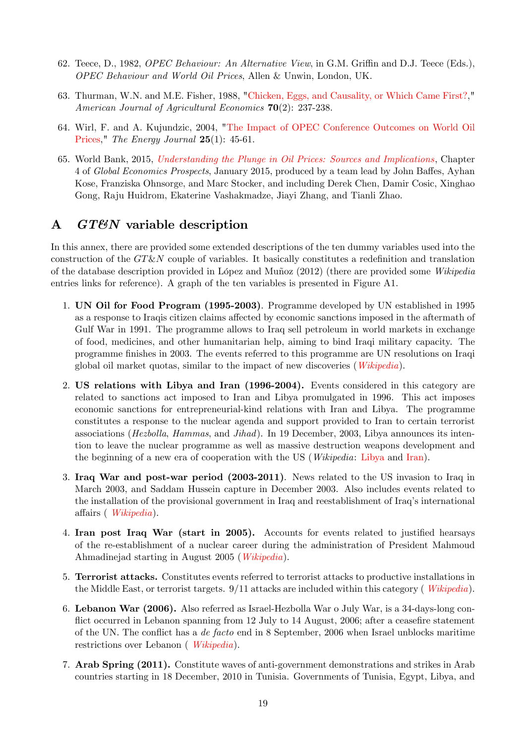- 62. Teece, D., 1982, *OPEC Behaviour: An Alternative View*, in G.M. Griffin and D.J. Teece (Eds.), OPEC Behaviour and World Oil Prices, Allen & Unwin, London, UK.
- 63. Thurman, W.N. and M.E. Fisher, 1988, "Chicken, Eggs, and Causality, or Which Came First?," American Journal of Agricultural Economics 70(2): 237-238.
- 64. Wirl, F. and A. Kujundzic, 2004, "The Impact of OPEC Conference Outcomes on World Oil Prices," The Energy Journal 25(1): 45-61.
- 65. World Bank, 2015, Understanding the Plunge in Oil Prices: Sources and Implications, Chapter 4 of Global Economics Prospects, January 2015, produced by a team lead by John Baffes, Ayhan Kose, Franziska Ohnsorge, and Marc Stocker, and including Derek Chen, Damir Cosic, Xinghao Gong, Raju Huidrom, Ekaterine Vashakmadze, Jiayi Zhang, and Tianli Zhao.

### A GT&N variable description

In this annex, there are provided some extended descriptions of the ten dummy variables used into the construction of the  $GT\&N$  couple of variables. It basically constitutes a redefinition and translation of the database description provided in López and Muñoz (2012) (there are provided some Wikipedia entries links for reference). A graph of the ten variables is presented in Figure A1.

- 1. UN Oil for Food Program (1995-2003). Programme developed by UN established in 1995 as a response to Iraqis citizen claims affected by economic sanctions imposed in the aftermath of Gulf War in 1991. The programme allows to Iraq sell petroleum in world markets in exchange of food, medicines, and other humanitarian help, aiming to bind Iraqi military capacity. The programme Önishes in 2003. The events referred to this programme are UN resolutions on Iraqi global oil market quotas, similar to the impact of new discoveries (Wikipedia).
- 2. US relations with Libya and Iran (1996-2004). Events considered in this category are related to sanctions act imposed to Iran and Libya promulgated in 1996. This act imposes economic sanctions for entrepreneurial-kind relations with Iran and Libya. The programme constitutes a response to the nuclear agenda and support provided to Iran to certain terrorist associations (Hezbolla, Hammas, and Jihad). In 19 December, 2003, Libya announces its intention to leave the nuclear programme as well as massive destruction weapons development and the beginning of a new era of cooperation with the US (Wikipedia: Libya and Iran).
- 3. Iraq War and post-war period (2003-2011). News related to the US invasion to Iraq in March 2003, and Saddam Hussein capture in December 2003. Also includes events related to the installation of the provisional government in Iraq and reestablishment of Iraqís international affairs (*Wikipedia*).
- 4. Iran post Iraq War (start in 2005). Accounts for events related to justified hearsays of the re-establishment of a nuclear career during the administration of President Mahmoud Ahmadinejad starting in August 2005 (Wikipedia).
- 5. Terrorist attacks. Constitutes events referred to terrorist attacks to productive installations in the Middle East, or terrorist targets. 9/11 attacks are included within this category ( Wikipedia).
- 6. Lebanon War (2006). Also referred as Israel-Hezbolla War o July War, is a 34-days-long conflict occurred in Lebanon spanning from 12 July to 14 August, 2006; after a ceasefire statement of the UN. The conflict has a de facto end in 8 September, 2006 when Israel unblocks maritime restrictions over Lebanon ( Wikipedia).
- 7. Arab Spring (2011). Constitute waves of anti-government demonstrations and strikes in Arab countries starting in 18 December, 2010 in Tunisia. Governments of Tunisia, Egypt, Libya, and